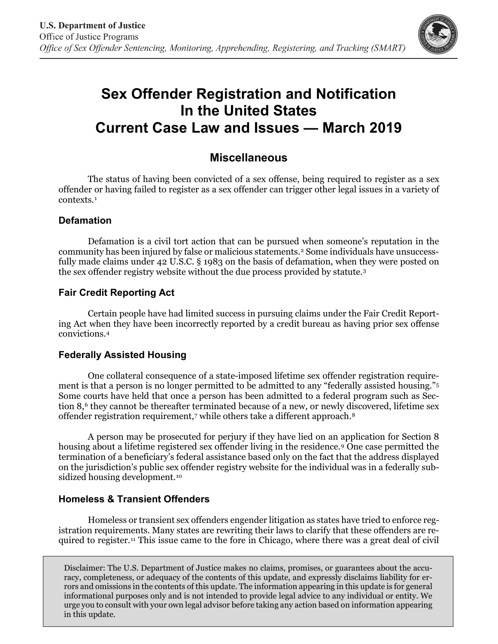

# **Sex Offender Registration and Notification In the United States Current Case Law and Issues — March 2019**

# **Miscellaneous**

The status of having been convicted of a sex offense, being required to register as a sex offender or having failed to register as a sex offender can trigger other legal issues in a variety of contexts.[1](#page-1-0)

#### **Defamation**

Defamation is a civil tort action that can be pursued when someone's reputation in the community has been injured by false or malicious statements.[2](#page-1-1) Some individuals have unsuccessfully made claims under 42 U.S.C. § 1983 on the basis of defamation, when they were posted on the sex offender registry website without the due process provided by statute.[3](#page-1-2)

## **Fair Credit Reporting Act**

Certain people have had limited success in pursuing claims under the Fair Credit Reporting Act when they have been incorrectly reported by a credit bureau as having prior sex offense convictions.[4](#page-1-3)

#### **Federally Assisted Housing**

One collateral consequence of a state-imposed lifetime sex offender registration requirement is that a person is no longer permitted to be admitted to any "federally assisted housing."[5](#page-1-4) Some courts have held that once a person has been admitted to a federal program such as Sec-tion 8,<sup>[6](#page-1-5)</sup> they cannot be thereafter terminated because of a new, or newly discovered, lifetime sex offender registration requirement,<sup>[7](#page-1-6)</sup> while others take a different approach.<sup>[8](#page-1-7)</sup>

A person may be prosecuted for perjury if they have lied on an application for Section 8 housing about a lifetime registered sex offender living in the residence.[9](#page-1-8) One case permitted the termination of a beneficiary's federal assistance based only on the fact that the address displayed on the jurisdiction's public sex offender registry website for the individual was in a federally sub-sidized housing development.<sup>[10](#page-1-9)</sup>

#### **Homeless & Transient Offenders**

Homeless or transient sex offenders engender litigation as states have tried to enforce registration requirements. Many states are rewriting their laws to clarify that these offenders are required to register.[11](#page-1-10) This issue came to the fore in Chicago, where there was a great deal of civil

Disclaimer: The U.S. Department of Justice makes no claims, promises, or guarantees about the accuracy, completeness, or adequacy of the contents of this update, and expressly disclaims liability for errors and omissions in the contents of this update. The information appearing in this update is for general informational purposes only and is not intended to provide legal advice to any individual or entity. We urge you to consult with your own legal advisor before taking any action based on information appearing in this update.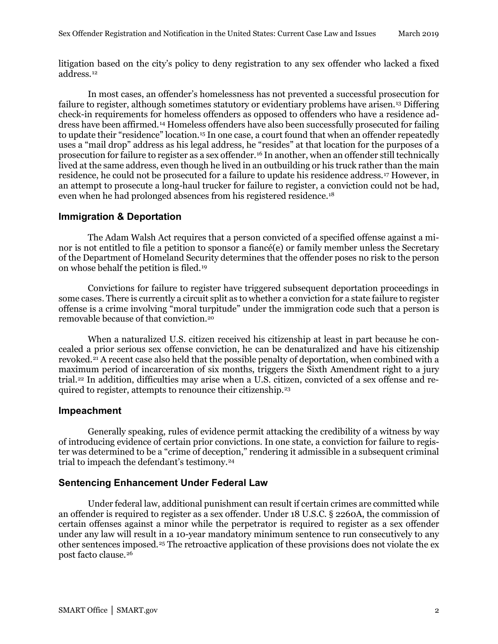<span id="page-1-0"></span>litigation based on the city's policy to deny registration to any sex offender who lacked a fixed address.[12](#page-1-11)

<span id="page-1-2"></span><span id="page-1-1"></span>In most cases, an offender's homelessness has not prevented a successful prosecution for failure to register, although sometimes statutory or evidentiary problems have arisen.[13](#page-1-12) Differing check-in requirements for homeless offenders as opposed to offenders who have a residence address have been affirmed.[14](#page-2-0) Homeless offenders have also been successfully prosecuted for failing to update their "residence" location.<sup>[15](#page-2-1)</sup> In one case, a court found that when an offender repeatedly uses a "mail drop" address as his legal address, he "resides" at that location for the purposes of a prosecution for failure to register as a sex offender.[16](#page-2-2) In another, when an offender still technically lived at the same address, even though he lived in an outbuilding or his truck rather than the main residence, he could not be prosecuted for a failure to update his residence address.[17](#page-2-3) However, in an attempt to prosecute a long-haul trucker for failure to register, a conviction could not be had, even when he had prolonged absences from his registered residence.[18](#page-2-4)

#### <span id="page-1-4"></span><span id="page-1-3"></span>**Immigration & Deportation**

The Adam Walsh Act requires that a person convicted of a specified offense against a minor is not entitled to file a petition to sponsor a fiancé(e) or family member unless the Secretary of the Department of Homeland Security determines that the offender poses no risk to the person on whose behalf the petition is filed.[19](#page-2-5)

<span id="page-1-5"></span>Convictions for failure to register have triggered subsequent deportation proceedings in some cases. There is currently a circuit split as to whether a conviction for a state failure to register offense is a crime involving "moral turpitude" under the immigration code such that a person is removable because of that conviction.[20](#page-2-6)

<span id="page-1-7"></span><span id="page-1-6"></span>When a naturalized U.S. citizen received his citizenship at least in part because he concealed a prior serious sex offense conviction, he can be denaturalized and have his citizenship revoked.[21](#page-2-7) A recent case also held that the possible penalty of deportation, when combined with a maximum period of incarceration of six months, triggers the Sixth Amendment right to a jury trial.[22](#page-2-8) In addition, difficulties may arise when a U.S. citizen, convicted of a sex offense and required to register, attempts to renounce their citizenship.[23](#page-2-9)

#### <span id="page-1-10"></span><span id="page-1-9"></span><span id="page-1-8"></span>**Impeachment**

<span id="page-1-11"></span>Generally speaking, rules of evidence permit attacking the credibility of a witness by way of introducing evidence of certain prior convictions. In one state, a conviction for failure to register was determined to be a "crime of deception," rendering it admissible in a subsequent criminal trial to impeach the defendant's testimony.[24](#page-2-10)

### **Sentencing Enhancement Under Federal Law**

<span id="page-1-12"></span>Under federal law, additional punishment can result if certain crimes are committed while an offender is required to register as a sex offender. Under 18 U.S.C. § 2260A, the commission of certain offenses against a minor while the perpetrator is required to register as a sex offender under any law will result in a 10-year mandatory minimum sentence to run consecutively to any other sentences imposed.[25](#page-2-11) The retroactive application of these provisions does not violate the ex post facto clause.[26](#page-2-12)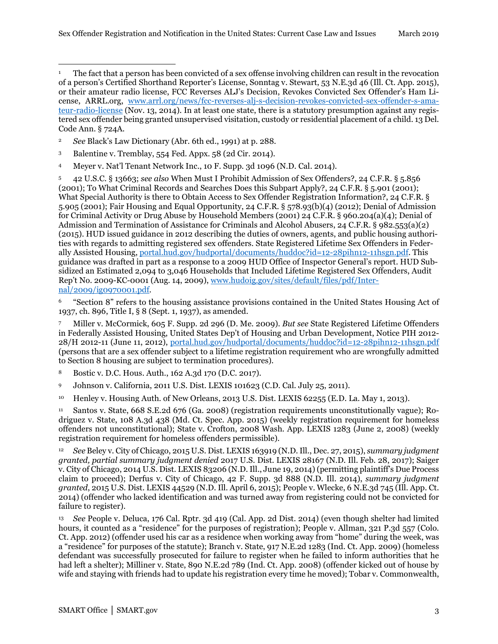- <sup>2</sup> *See* Black's Law Dictionary (Abr. 6th ed., 1991) at p. 288.
- <sup>3</sup> Balentine v. Tremblay, 554 Fed. Appx. 58 (2d Cir. 2014).
- <span id="page-2-0"></span><sup>4</sup> Meyer v. Nat'l Tenant Network Inc., 10 F. Supp. 3d 1096 (N.D. Cal. 2014).

<span id="page-2-5"></span><span id="page-2-4"></span><span id="page-2-3"></span><span id="page-2-2"></span><span id="page-2-1"></span><sup>5</sup> 42 U.S.C. § 13663; *see also* When Must I Prohibit Admission of Sex Offenders?, 24 C.F.R. § 5.856 (2001); To What Criminal Records and Searches Does this Subpart Apply?, 24 C.F.R. § 5.901 (2001); What Special Authority is there to Obtain Access to Sex Offender Registration Information?, 24 C.F.R. § 5.905 (2001); Fair Housing and Equal Opportunity, 24 C.F.R. § 578.93(b)(4) (2012); Denial of Admission for Criminal Activity or Drug Abuse by Household Members (2001) 24 C.F.R. § 960.204(a)(4); Denial of Admission and Termination of Assistance for Criminals and Alcohol Abusers, 24 C.F.R. § 982.553(a)(2) (2015). HUD issued guidance in 2012 describing the duties of owners, agents, and public housing authorities with regards to admitting registered sex offenders. State Registered Lifetime Sex Offenders in Federally Assisted Housing, [portal.hud.gov/hudportal/documents/huddoc?id=12-28pihn12-11hsgn.pdf.](http://portal.hud.gov/hudportal/documents/huddoc?id=12-28pihn12-11hsgn.pdf) This guidance was drafted in part as a response to a 2009 HUD Office of Inspector General's report. HUD Subsidized an Estimated 2,094 to 3,046 Households that Included Lifetime Registered Sex Offenders, Audit Rep't No. 2009-KC-0001 (Aug. 14, 2009), [www.hudoig.gov/sites/default/files/pdf/Inter](https://www.hudoig.gov/sites/default/files/pdf/Internal/2009/ig0970001.pdf)[nal/2009/ig0970001.pdf.](https://www.hudoig.gov/sites/default/files/pdf/Internal/2009/ig0970001.pdf)

<span id="page-2-6"></span><sup>6</sup> "Section 8" refers to the housing assistance provisions contained in the United States Housing Act of 1937, ch. 896, Title I, § 8 (Sept. 1, 1937), as amended.

<sup>7</sup> Miller v. McCormick, 605 F. Supp. 2d 296 (D. Me. 2009). *But see* State Registered Lifetime Offenders in Federally Assisted Housing, United States Dep't of Housing and Urban Development, Notice PIH 2012- 28/H 2012-11 (June 11, 2012), [portal.hud.gov/hudportal/documents/huddoc?id=12-28pihn12-11hsgn.pdf](https://portal.hud.gov/hudportal/documents/huddoc?id=12-28pihn12-11hsgn.pdf%20) (persons that are a sex offender subject to a lifetime registration requirement who are wrongfully admitted to Section 8 housing are subject to termination procedures).

<span id="page-2-7"></span><sup>8</sup> Bostic v. D.C. Hous. Auth., 162 A.3d 170 (D.C. 2017).

<span id="page-2-8"></span><sup>9</sup> Johnson v. California, 2011 U.S. Dist. LEXIS 101623 (C.D. Cal. July 25, 2011).

<span id="page-2-9"></span><sup>10</sup> Henley v. Housing Auth. of New Orleans, 2013 U.S. Dist. LEXIS 62255 (E.D. La. May 1, 2013).

<span id="page-2-10"></span><sup>11</sup> Santos v. State, 668 S.E.2d 676 (Ga. 2008) (registration requirements unconstitutionally vague); Rodriguez v. State, 108 A.3d 438 (Md. Ct. Spec. App. 2015) (weekly registration requirement for homeless offenders not unconstitutional); State v. Crofton, 2008 Wash. App. LEXIS 1283 (June 2, 2008) (weekly registration requirement for homeless offenders permissible).

<span id="page-2-12"></span><span id="page-2-11"></span><sup>12</sup> *See* Beley v. City of Chicago, 2015 U.S. Dist. LEXIS 163919 (N.D. Ill., Dec. 27, 2015), *summary judgment granted, partial summary judgment denied* 2017 U.S. Dist. LEXIS 28167 (N.D. Ill. Feb. 28, 2017); Saiger v. City of Chicago, 2014 U.S. Dist. LEXIS 83206 (N.D. Ill., June 19, 2014) (permitting plaintiff's Due Process claim to proceed); Derfus v. City of Chicago, 42 F. Supp. 3d 888 (N.D. Ill. 2014), *summary judgment granted*, 2015 U.S. Dist. LEXIS 44529 (N.D. Ill. April 6, 2015); People v. Wlecke, 6 N.E.3d 745 (Ill. App. Ct. 2014) (offender who lacked identification and was turned away from registering could not be convicted for failure to register).

<sup>13</sup> *See* People v. Deluca, 176 Cal. Rptr. 3d 419 (Cal. App. 2d Dist. 2014) (even though shelter had limited hours, it counted as a "residence" for the purposes of registration); People v. Allman, 321 P.3d 557 (Colo. Ct. App. 2012) (offender used his car as a residence when working away from "home" during the week, was a "residence" for purposes of the statute); Branch v. State, 917 N.E.2d 1283 (Ind. Ct. App. 2009) (homeless defendant was successfully prosecuted for failure to register when he failed to inform authorities that he had left a shelter); Milliner v. State, 890 N.E.2d 789 (Ind. Ct. App. 2008) (offender kicked out of house by wife and staying with friends had to update his registration every time he moved); Tobar v. Commonwealth,

<sup>&</sup>lt;sup>1</sup> The fact that a person has been convicted of a sex offense involving children can result in the revocation of a person's Certified Shorthand Reporter's License, Sonntag v. Stewart, 53 N.E.3d 46 (Ill. Ct. App. 2015), or their amateur radio license, FCC Reverses ALJ's Decision, Revokes Convicted Sex Offender's Ham License, ARRL.org, [www.arrl.org/news/fcc-reverses-alj-s-decision-revokes-convicted-sex-offender-s-ama](http://www.arrl.org/news/fcc-reverses-alj-s-decision-revokes-convicted-sex-offender-s-amateur-radio-license)[teur-radio-license](http://www.arrl.org/news/fcc-reverses-alj-s-decision-revokes-convicted-sex-offender-s-amateur-radio-license) (Nov. 13, 2014). In at least one state, there is a statutory presumption against any registered sex offender being granted unsupervised visitation, custody or residential placement of a child. 13 Del. Code Ann. § 724A.  $\overline{a}$